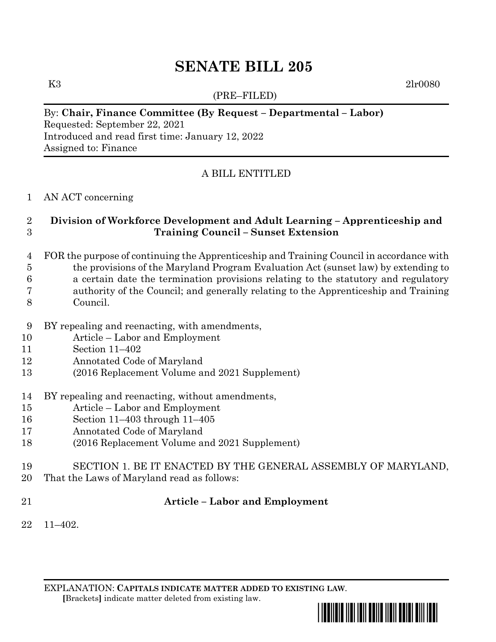# **SENATE BILL 205**

(PRE–FILED)

K3 2lr0080

### By: **Chair, Finance Committee (By Request – Departmental – Labor)**

Requested: September 22, 2021 Introduced and read first time: January 12, 2022 Assigned to: Finance

# A BILL ENTITLED

#### AN ACT concerning

## **Division of Workforce Development and Adult Learning – Apprenticeship and Training Council – Sunset Extension**

- FOR the purpose of continuing the Apprenticeship and Training Council in accordance with the provisions of the Maryland Program Evaluation Act (sunset law) by extending to a certain date the termination provisions relating to the statutory and regulatory authority of the Council; and generally relating to the Apprenticeship and Training
- Council.
- BY repealing and reenacting, with amendments,
- Article Labor and Employment
- Section 11–402
- Annotated Code of Maryland
- (2016 Replacement Volume and 2021 Supplement)
- BY repealing and reenacting, without amendments,
- Article Labor and Employment
- Section 11–403 through 11–405
- Annotated Code of Maryland
- (2016 Replacement Volume and 2021 Supplement)
- SECTION 1. BE IT ENACTED BY THE GENERAL ASSEMBLY OF MARYLAND,
- That the Laws of Maryland read as follows:
- 

## **Article – Labor and Employment**

11–402.

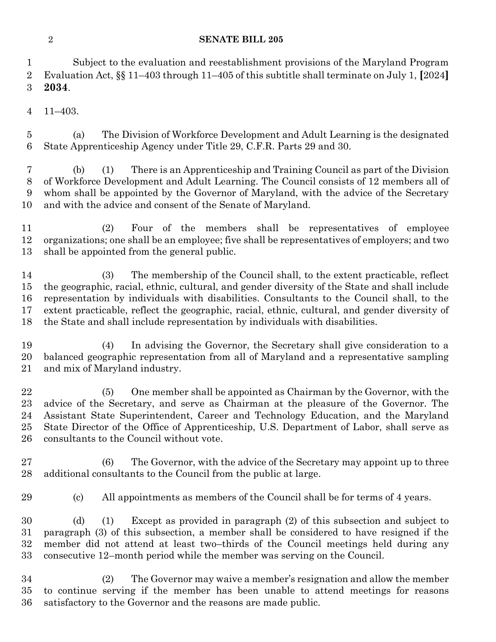#### **SENATE BILL 205**

 Subject to the evaluation and reestablishment provisions of the Maryland Program Evaluation Act, §§ 11–403 through 11–405 of this subtitle shall terminate on July 1, **[**2024**] 2034**.

11–403.

 (a) The Division of Workforce Development and Adult Learning is the designated State Apprenticeship Agency under Title 29, C.F.R. Parts 29 and 30.

 (b) (1) There is an Apprenticeship and Training Council as part of the Division of Workforce Development and Adult Learning. The Council consists of 12 members all of whom shall be appointed by the Governor of Maryland, with the advice of the Secretary and with the advice and consent of the Senate of Maryland.

 (2) Four of the members shall be representatives of employee organizations; one shall be an employee; five shall be representatives of employers; and two shall be appointed from the general public.

 (3) The membership of the Council shall, to the extent practicable, reflect the geographic, racial, ethnic, cultural, and gender diversity of the State and shall include representation by individuals with disabilities. Consultants to the Council shall, to the extent practicable, reflect the geographic, racial, ethnic, cultural, and gender diversity of the State and shall include representation by individuals with disabilities.

 (4) In advising the Governor, the Secretary shall give consideration to a balanced geographic representation from all of Maryland and a representative sampling and mix of Maryland industry.

 (5) One member shall be appointed as Chairman by the Governor, with the advice of the Secretary, and serve as Chairman at the pleasure of the Governor. The Assistant State Superintendent, Career and Technology Education, and the Maryland State Director of the Office of Apprenticeship, U.S. Department of Labor, shall serve as consultants to the Council without vote.

- (6) The Governor, with the advice of the Secretary may appoint up to three additional consultants to the Council from the public at large.
- 

(c) All appointments as members of the Council shall be for terms of 4 years.

 (d) (1) Except as provided in paragraph (2) of this subsection and subject to paragraph (3) of this subsection, a member shall be considered to have resigned if the member did not attend at least two–thirds of the Council meetings held during any consecutive 12–month period while the member was serving on the Council.

 (2) The Governor may waive a member's resignation and allow the member to continue serving if the member has been unable to attend meetings for reasons satisfactory to the Governor and the reasons are made public.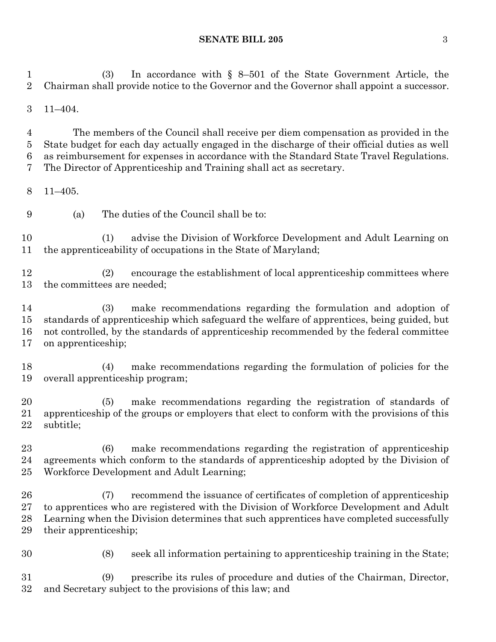#### **SENATE BILL 205** 3

 (3) In accordance with § 8–501 of the State Government Article, the Chairman shall provide notice to the Governor and the Governor shall appoint a successor.

11–404.

 The members of the Council shall receive per diem compensation as provided in the State budget for each day actually engaged in the discharge of their official duties as well as reimbursement for expenses in accordance with the Standard State Travel Regulations. The Director of Apprenticeship and Training shall act as secretary.

11–405.

(a) The duties of the Council shall be to:

 (1) advise the Division of Workforce Development and Adult Learning on the apprenticeability of occupations in the State of Maryland;

 (2) encourage the establishment of local apprenticeship committees where the committees are needed;

 (3) make recommendations regarding the formulation and adoption of standards of apprenticeship which safeguard the welfare of apprentices, being guided, but not controlled, by the standards of apprenticeship recommended by the federal committee on apprenticeship;

 (4) make recommendations regarding the formulation of policies for the overall apprenticeship program;

 (5) make recommendations regarding the registration of standards of apprenticeship of the groups or employers that elect to conform with the provisions of this subtitle;

 (6) make recommendations regarding the registration of apprenticeship agreements which conform to the standards of apprenticeship adopted by the Division of Workforce Development and Adult Learning;

 (7) recommend the issuance of certificates of completion of apprenticeship to apprentices who are registered with the Division of Workforce Development and Adult Learning when the Division determines that such apprentices have completed successfully their apprenticeship;

(8) seek all information pertaining to apprenticeship training in the State;

 (9) prescribe its rules of procedure and duties of the Chairman, Director, and Secretary subject to the provisions of this law; and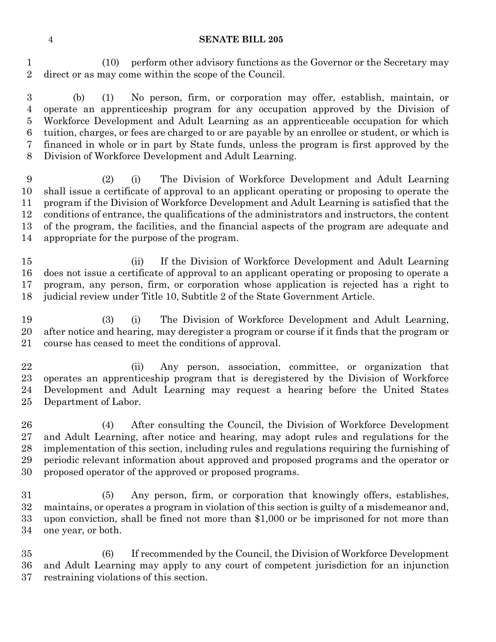#### **SENATE BILL 205**

 (10) perform other advisory functions as the Governor or the Secretary may direct or as may come within the scope of the Council.

 (b) (1) No person, firm, or corporation may offer, establish, maintain, or operate an apprenticeship program for any occupation approved by the Division of Workforce Development and Adult Learning as an apprenticeable occupation for which tuition, charges, or fees are charged to or are payable by an enrollee or student, or which is financed in whole or in part by State funds, unless the program is first approved by the Division of Workforce Development and Adult Learning.

 (2) (i) The Division of Workforce Development and Adult Learning shall issue a certificate of approval to an applicant operating or proposing to operate the program if the Division of Workforce Development and Adult Learning is satisfied that the conditions of entrance, the qualifications of the administrators and instructors, the content of the program, the facilities, and the financial aspects of the program are adequate and appropriate for the purpose of the program.

 (ii) If the Division of Workforce Development and Adult Learning does not issue a certificate of approval to an applicant operating or proposing to operate a program, any person, firm, or corporation whose application is rejected has a right to judicial review under Title 10, Subtitle 2 of the State Government Article.

 (3) (i) The Division of Workforce Development and Adult Learning, after notice and hearing, may deregister a program or course if it finds that the program or course has ceased to meet the conditions of approval.

 (ii) Any person, association, committee, or organization that operates an apprenticeship program that is deregistered by the Division of Workforce Development and Adult Learning may request a hearing before the United States Department of Labor.

 (4) After consulting the Council, the Division of Workforce Development and Adult Learning, after notice and hearing, may adopt rules and regulations for the implementation of this section, including rules and regulations requiring the furnishing of periodic relevant information about approved and proposed programs and the operator or proposed operator of the approved or proposed programs.

 (5) Any person, firm, or corporation that knowingly offers, establishes, maintains, or operates a program in violation of this section is guilty of a misdemeanor and, upon conviction, shall be fined not more than \$1,000 or be imprisoned for not more than one year, or both.

 (6) If recommended by the Council, the Division of Workforce Development and Adult Learning may apply to any court of competent jurisdiction for an injunction restraining violations of this section.